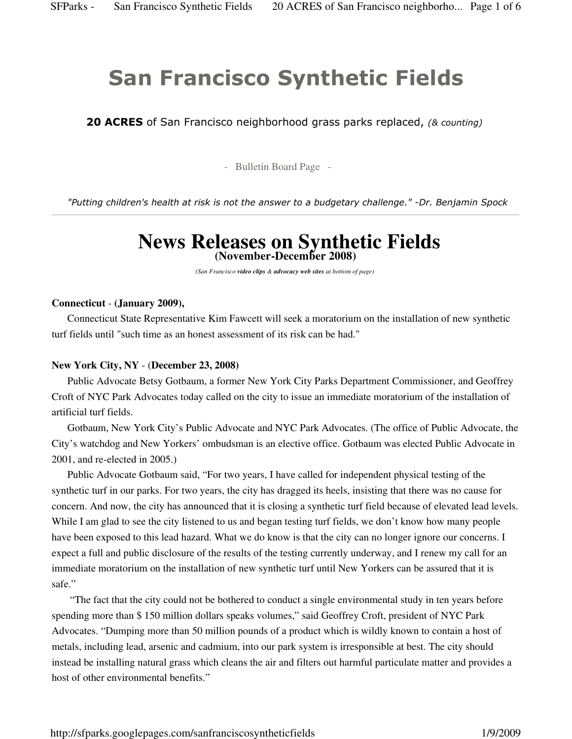# San Francisco Synthetic Fields

**20 ACRES** of San Francisco neighborhood grass parks replaced, (& counting)

- Bulletin Board Page -

"Putting children's health at risk is not the answer to a budgetary challenge." -Dr. Benjamin Spock

# **News Releases on Synthetic Fields (November-December 2008)**

*(San Francisco video clips & advocacy web sites at bottom of page)*

#### **Connecticut** - **(January 2009),**

 Connecticut State Representative Kim Fawcett will seek a moratorium on the installation of new synthetic turf fields until "such time as an honest assessment of its risk can be had."

#### **New York City, NY** - (**December 23, 2008)**

 Public Advocate Betsy Gotbaum, a former New York City Parks Department Commissioner, and Geoffrey Croft of NYC Park Advocates today called on the city to issue an immediate moratorium of the installation of artificial turf fields.

 Gotbaum, New York City's Public Advocate and NYC Park Advocates. (The office of Public Advocate, the City's watchdog and New Yorkers' ombudsman is an elective office. Gotbaum was elected Public Advocate in 2001, and re-elected in 2005.)

 Public Advocate Gotbaum said, "For two years, I have called for independent physical testing of the synthetic turf in our parks. For two years, the city has dragged its heels, insisting that there was no cause for concern. And now, the city has announced that it is closing a synthetic turf field because of elevated lead levels. While I am glad to see the city listened to us and began testing turf fields, we don't know how many people have been exposed to this lead hazard. What we do know is that the city can no longer ignore our concerns. I expect a full and public disclosure of the results of the testing currently underway, and I renew my call for an immediate moratorium on the installation of new synthetic turf until New Yorkers can be assured that it is safe."

 "The fact that the city could not be bothered to conduct a single environmental study in ten years before spending more than \$ 150 million dollars speaks volumes," said Geoffrey Croft, president of NYC Park Advocates. "Dumping more than 50 million pounds of a product which is wildly known to contain a host of metals, including lead, arsenic and cadmium, into our park system is irresponsible at best. The city should instead be installing natural grass which cleans the air and filters out harmful particulate matter and provides a host of other environmental benefits."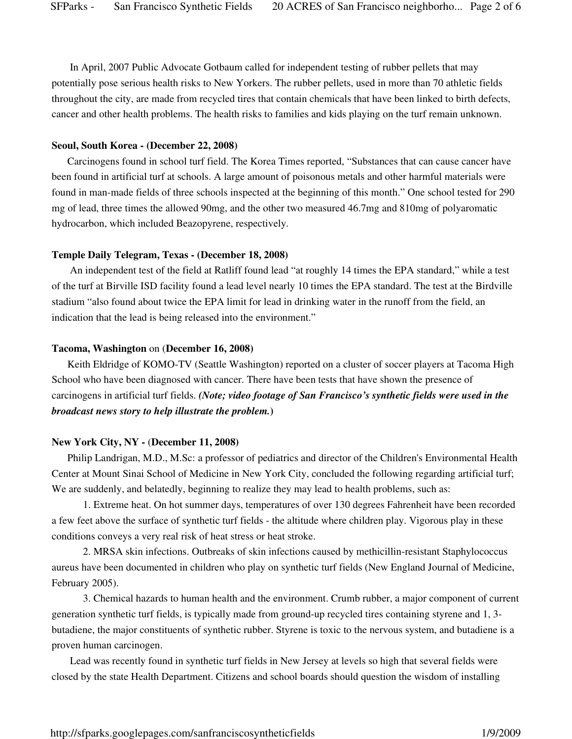In April, 2007 Public Advocate Gotbaum called for independent testing of rubber pellets that may potentially pose serious health risks to New Yorkers. The rubber pellets, used in more than 70 athletic fields throughout the city, are made from recycled tires that contain chemicals that have been linked to birth defects, cancer and other health problems. The health risks to families and kids playing on the turf remain unknown.

#### **Seoul, South Korea - (December 22, 2008)**

 Carcinogens found in school turf field. The Korea Times reported, "Substances that can cause cancer have been found in artificial turf at schools. A large amount of poisonous metals and other harmful materials were found in man-made fields of three schools inspected at the beginning of this month." One school tested for 290 mg of lead, three times the allowed 90mg, and the other two measured 46.7mg and 810mg of polyaromatic hydrocarbon, which included Beazopyrene, respectively.

#### **Temple Daily Telegram, Texas - (December 18, 2008)**

 An independent test of the field at Ratliff found lead "at roughly 14 times the EPA standard," while a test of the turf at Birville ISD facility found a lead level nearly 10 times the EPA standard. The test at the Birdville stadium "also found about twice the EPA limit for lead in drinking water in the runoff from the field, an indication that the lead is being released into the environment."

#### **Tacoma, Washington** on (**December 16, 2008)**

 Keith Eldridge of KOMO-TV (Seattle Washington) reported on a cluster of soccer players at Tacoma High School who have been diagnosed with cancer. There have been tests that have shown the presence of carcinogens in artificial turf fields. *(Note; video footage of San Francisco's synthetic fields were used in the broadcast news story to help illustrate the problem.***)**

#### **New York City, NY -** (**December 11, 2008)**

 Philip Landrigan, M.D., M.Sc: a professor of pediatrics and director of the Children's Environmental Health Center at Mount Sinai School of Medicine in New York City, concluded the following regarding artificial turf; We are suddenly, and belatedly, beginning to realize they may lead to health problems, such as:

1. Extreme heat. On hot summer days, temperatures of over 130 degrees Fahrenheit have been recorded a few feet above the surface of synthetic turf fields - the altitude where children play. Vigorous play in these conditions conveys a very real risk of heat stress or heat stroke.

2. MRSA skin infections. Outbreaks of skin infections caused by methicillin-resistant Staphylococcus aureus have been documented in children who play on synthetic turf fields (New England Journal of Medicine, February 2005).

3. Chemical hazards to human health and the environment. Crumb rubber, a major component of current generation synthetic turf fields, is typically made from ground-up recycled tires containing styrene and 1, 3 butadiene, the major constituents of synthetic rubber. Styrene is toxic to the nervous system, and butadiene is a proven human carcinogen.

 Lead was recently found in synthetic turf fields in New Jersey at levels so high that several fields were closed by the state Health Department. Citizens and school boards should question the wisdom of installing

http://sfparks.googlepages.com/sanfranciscosyntheticfields 1/9/2009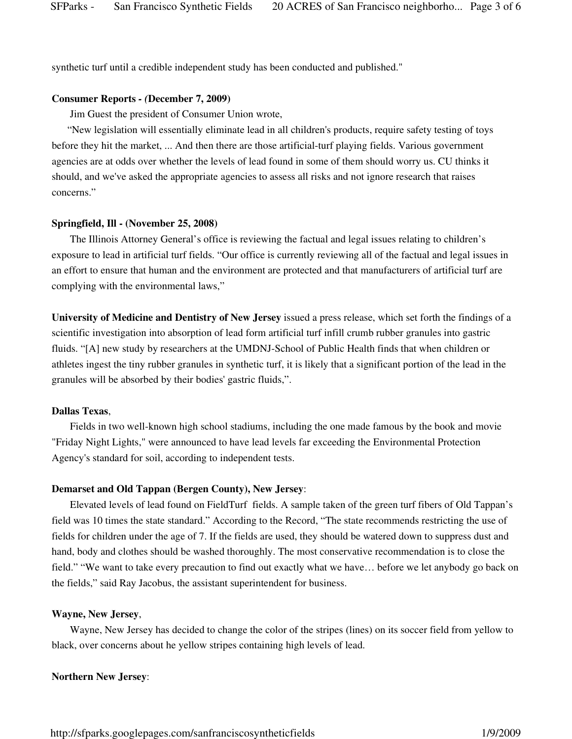synthetic turf until a credible independent study has been conducted and published."

#### **Consumer Reports** *- (***December 7, 2009)**

Jim Guest the president of Consumer Union wrote,

 "New legislation will essentially eliminate lead in all children's products, require safety testing of toys before they hit the market, ... And then there are those artificial-turf playing fields. Various government agencies are at odds over whether the levels of lead found in some of them should worry us. CU thinks it should, and we've asked the appropriate agencies to assess all risks and not ignore research that raises concerns."

#### **Springfield, Ill - (November 25, 2008)**

 The Illinois Attorney General's office is reviewing the factual and legal issues relating to children's exposure to lead in artificial turf fields. "Our office is currently reviewing all of the factual and legal issues in an effort to ensure that human and the environment are protected and that manufacturers of artificial turf are complying with the environmental laws,"

**University of Medicine and Dentistry of New Jersey** issued a press release, which set forth the findings of a scientific investigation into absorption of lead form artificial turf infill crumb rubber granules into gastric fluids. "[A] new study by researchers at the UMDNJ-School of Public Health finds that when children or athletes ingest the tiny rubber granules in synthetic turf, it is likely that a significant portion of the lead in the granules will be absorbed by their bodies' gastric fluids,".

#### **Dallas Texas**,

 Fields in two well-known high school stadiums, including the one made famous by the book and movie "Friday Night Lights," were announced to have lead levels far exceeding the Environmental Protection Agency's standard for soil, according to independent tests.

#### **Demarset and Old Tappan (Bergen County), New Jersey**:

 Elevated levels of lead found on FieldTurf fields. A sample taken of the green turf fibers of Old Tappan's field was 10 times the state standard." According to the Record, "The state recommends restricting the use of fields for children under the age of 7. If the fields are used, they should be watered down to suppress dust and hand, body and clothes should be washed thoroughly. The most conservative recommendation is to close the field." "We want to take every precaution to find out exactly what we have… before we let anybody go back on the fields," said Ray Jacobus, the assistant superintendent for business.

#### **Wayne, New Jersey**,

 Wayne, New Jersey has decided to change the color of the stripes (lines) on its soccer field from yellow to black, over concerns about he yellow stripes containing high levels of lead.

#### **Northern New Jersey**:

http://sfparks.googlepages.com/sanfranciscosyntheticfields 1/9/2009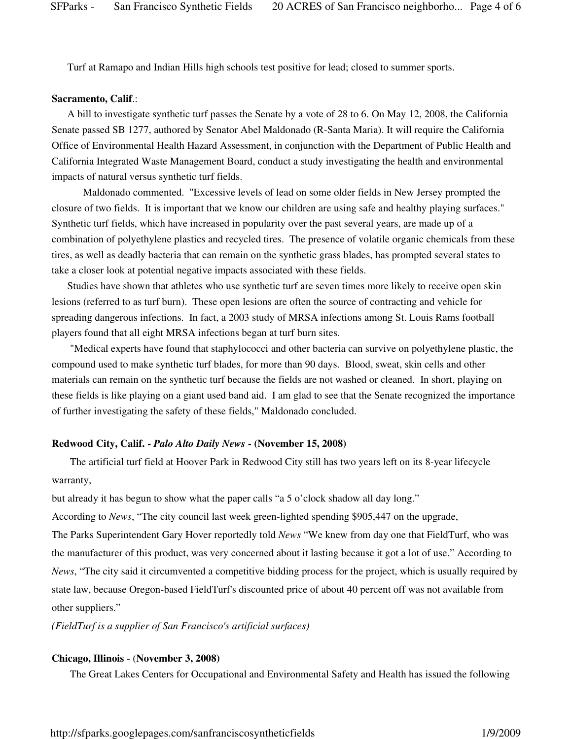Turf at Ramapo and Indian Hills high schools test positive for lead; closed to summer sports.

### **Sacramento, Calif**.:

 A bill to investigate synthetic turf passes the Senate by a vote of 28 to 6. On May 12, 2008, the California Senate passed SB 1277, authored by Senator Abel Maldonado (R-Santa Maria). It will require the California Office of Environmental Health Hazard Assessment, in conjunction with the Department of Public Health and California Integrated Waste Management Board, conduct a study investigating the health and environmental impacts of natural versus synthetic turf fields.

Maldonado commented. "Excessive levels of lead on some older fields in New Jersey prompted the closure of two fields. It is important that we know our children are using safe and healthy playing surfaces." Synthetic turf fields, which have increased in popularity over the past several years, are made up of a combination of polyethylene plastics and recycled tires. The presence of volatile organic chemicals from these tires, as well as deadly bacteria that can remain on the synthetic grass blades, has prompted several states to take a closer look at potential negative impacts associated with these fields.

 Studies have shown that athletes who use synthetic turf are seven times more likely to receive open skin lesions (referred to as turf burn). These open lesions are often the source of contracting and vehicle for spreading dangerous infections. In fact, a 2003 study of MRSA infections among St. Louis Rams football players found that all eight MRSA infections began at turf burn sites.

 "Medical experts have found that staphylococci and other bacteria can survive on polyethylene plastic, the compound used to make synthetic turf blades, for more than 90 days. Blood, sweat, skin cells and other materials can remain on the synthetic turf because the fields are not washed or cleaned. In short, playing on these fields is like playing on a giant used band aid. I am glad to see that the Senate recognized the importance of further investigating the safety of these fields," Maldonado concluded.

## **Redwood City, Calif. -** *Palo Alto Daily News* **- (November 15, 2008)**

 The artificial turf field at Hoover Park in Redwood City still has two years left on its 8-year lifecycle warranty,

but already it has begun to show what the paper calls "a 5 o'clock shadow all day long."

According to *News*, "The city council last week green-lighted spending \$905,447 on the upgrade,

The Parks Superintendent Gary Hover reportedly told *News* "We knew from day one that FieldTurf, who was the manufacturer of this product, was very concerned about it lasting because it got a lot of use." According to *News*, "The city said it circumvented a competitive bidding process for the project, which is usually required by state law, because Oregon-based FieldTurf's discounted price of about 40 percent off was not available from other suppliers."

*(FieldTurf is a supplier of San Francisco's artificial surfaces)*

# **Chicago, Illinois** - (**November 3, 2008)**

The Great Lakes Centers for Occupational and Environmental Safety and Health has issued the following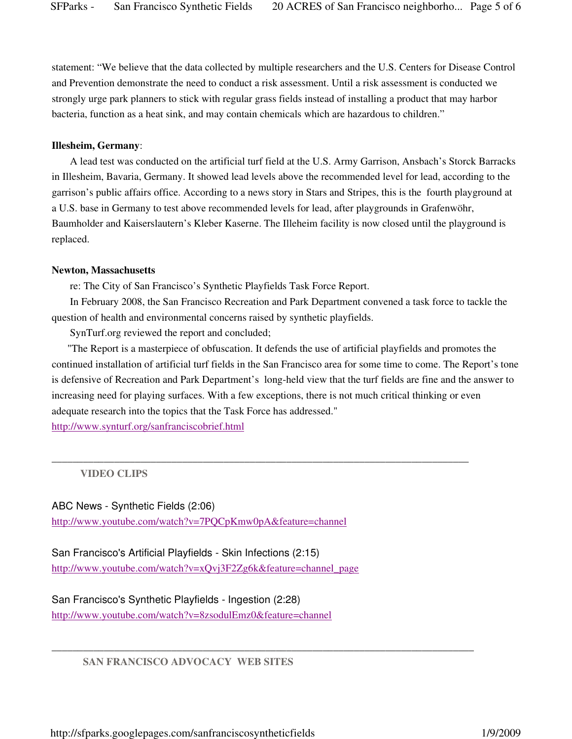statement: "We believe that the data collected by multiple researchers and the U.S. Centers for Disease Control and Prevention demonstrate the need to conduct a risk assessment. Until a risk assessment is conducted we strongly urge park planners to stick with regular grass fields instead of installing a product that may harbor bacteria, function as a heat sink, and may contain chemicals which are hazardous to children."

#### **Illesheim, Germany**:

 A lead test was conducted on the artificial turf field at the U.S. Army Garrison, Ansbach's Storck Barracks in Illesheim, Bavaria, Germany. It showed lead levels above the recommended level for lead, according to the garrison's public affairs office. According to a news story in Stars and Stripes, this is the fourth playground at a U.S. base in Germany to test above recommended levels for lead, after playgrounds in Grafenwöhr, Baumholder and Kaiserslautern's Kleber Kaserne. The Illeheim facility is now closed until the playground is replaced.

#### **Newton, Massachusetts**

re: The City of San Francisco's Synthetic Playfields Task Force Report.

 In February 2008, the San Francisco Recreation and Park Department convened a task force to tackle the question of health and environmental concerns raised by synthetic playfields.

SynTurf.org reviewed the report and concluded;

 "The Report is a masterpiece of obfuscation. It defends the use of artificial playfields and promotes the continued installation of artificial turf fields in the San Francisco area for some time to come. The Report's tone is defensive of Recreation and Park Department's long-held view that the turf fields are fine and the answer to increasing need for playing surfaces. With a few exceptions, there is not much critical thinking or even adequate research into the topics that the Task Force has addressed."

\_\_\_\_\_\_\_\_\_\_\_\_\_\_\_\_\_\_\_\_\_\_\_\_\_\_\_\_\_\_\_\_\_\_\_\_\_\_\_\_\_\_\_\_\_\_\_\_\_\_\_\_\_\_\_\_\_\_\_\_\_\_\_\_\_\_\_\_\_\_\_\_\_\_\_\_\_\_\_\_

\_\_\_\_\_\_\_\_\_\_\_\_\_\_\_\_\_\_\_\_\_\_\_\_\_\_\_\_\_\_\_\_\_\_\_\_\_\_\_\_\_\_\_\_\_\_\_\_\_\_\_\_\_\_\_\_\_\_\_\_\_\_\_\_\_\_\_\_\_\_\_\_\_\_\_\_\_\_\_\_\_

http://www.synturf.org/sanfranciscobrief.html

 **VIDEO CLIPS** 

ABC News - Synthetic Fields (2:06) http://www.youtube.com/watch?v=7PQCpKmw0pA&feature=channel

San Francisco's Artificial Playfields - Skin Infections (2:15) http://www.youtube.com/watch?v=xQvj3F2Zg6k&feature=channel\_page

San Francisco's Synthetic Playfields - Ingestion (2:28) http://www.youtube.com/watch?v=8zsodulEmz0&feature=channel

 **SAN FRANCISCO ADVOCACY WEB SITES** 

http://sfparks.googlepages.com/sanfranciscosyntheticfields 1/9/2009